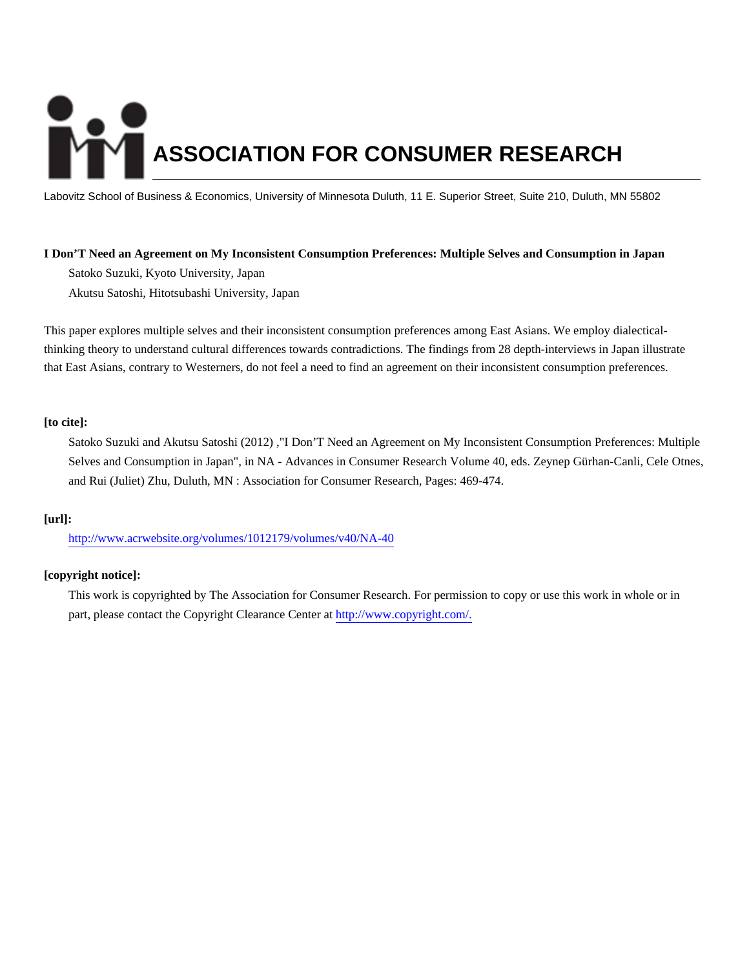# **ASSOCIATION FOR CONSUMER RESEARCH**

Labovitz School of Business & Economics, University of Minnesota Duluth, 11 E. Superior Street, Suite 210, Duluth, MN 55802

# **I Don'T Need an Agreement on My Inconsistent Consumption Preferences: Multiple Selves and Consumption in Japan**

Satoko Suzuki, Kyoto University, Japan Akutsu Satoshi, Hitotsubashi University, Japan

This paper explores multiple selves and their inconsistent consumption preferences among East Asians. We employ dialecticalthinking theory to understand cultural differences towards contradictions. The findings from 28 depth-interviews in Japan illustrate that East Asians, contrary to Westerners, do not feel a need to find an agreement on their inconsistent consumption preferences.

# **[to cite]:**

Satoko Suzuki and Akutsu Satoshi (2012) ,"I Don'T Need an Agreement on My Inconsistent Consumption Preferences: Multiple Selves and Consumption in Japan", in NA - Advances in Consumer Research Volume 40, eds. Zeynep Gürhan-Canli, Cele Otnes, and Rui (Juliet) Zhu, Duluth, MN : Association for Consumer Research, Pages: 469-474.

# **[url]:**

<http://www.acrwebsite.org/volumes/1012179/volumes/v40/NA-40>

# **[copyright notice]:**

This work is copyrighted by The Association for Consumer Research. For permission to copy or use this work in whole or in part, please contact the Copyright Clearance Center at [http://www.copyright.com/.](http://www.copyright.com/)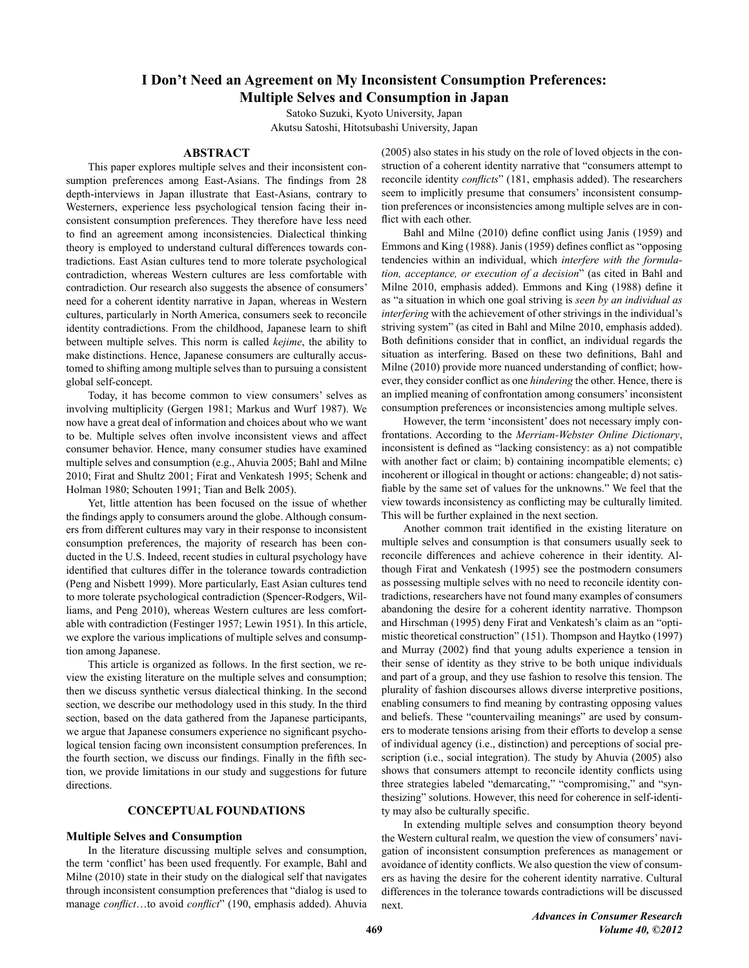# I Don't Need an Agreement on My Inconsistent Consumption Preferences: **Multiple Selves and Consumption in Japan**

Satoko Suzuki, Kyoto University, Japan Akutsu Satoshi, Hitotsubashi University, Japan

## **ABSTRACT**

This paper explores multiple selves and their inconsistent consumption preferences among East-Asians. The findings from 28 depth-interviews in Japan illustrate that East-Asians, contrary to Westerners, experience less psychological tension facing their inconsistent consumption preferences. They therefore have less need to find an agreement among inconsistencies. Dialectical thinking theory is employed to understand cultural differences towards contradictions. East Asian cultures tend to more tolerate psychological contradiction, whereas Western cultures are less comfortable with contradiction. Our research also suggests the absence of consumers' need for a coherent identity narrative in Japan, whereas in Western cultures, particularly in North America, consumers seek to reconcile identity contradictions. From the childhood, Japanese learn to shift between multiple selves. This norm is called kejime, the ability to make distinctions. Hence, Japanese consumers are culturally accustomed to shifting among multiple selves than to pursuing a consistent global self-concept.

Today, it has become common to view consumers' selves as involving multiplicity (Gergen 1981; Markus and Wurf 1987). We now have a great deal of information and choices about who we want to be. Multiple selves often involve inconsistent views and affect consumer behavior. Hence, many consumer studies have examined multiple selves and consumption (e.g., Ahuvia 2005; Bahl and Milne 2010; Firat and Shultz 2001; Firat and Venkatesh 1995; Schenk and Holman 1980; Schouten 1991; Tian and Belk 2005).

Yet, little attention has been focused on the issue of whether the findings apply to consumers around the globe. Although consumers from different cultures may vary in their response to inconsistent consumption preferences, the majority of research has been conducted in the U.S. Indeed, recent studies in cultural psychology have identified that cultures differ in the tolerance towards contradiction (Peng and Nisbett 1999). More particularly, East Asian cultures tend to more tolerate psychological contradiction (Spencer-Rodgers, Williams, and Peng 2010), whereas Western cultures are less comfortable with contradiction (Festinger 1957; Lewin 1951). In this article, we explore the various implications of multiple selves and consumption among Japanese.

This article is organized as follows. In the first section, we review the existing literature on the multiple selves and consumption; then we discuss synthetic versus dialectical thinking. In the second section, we describe our methodology used in this study. In the third section, based on the data gathered from the Japanese participants, we argue that Japanese consumers experience no significant psychological tension facing own inconsistent consumption preferences. In the fourth section, we discuss our findings. Finally in the fifth section, we provide limitations in our study and suggestions for future directions.

#### **CONCEPTUAL FOUNDATIONS**

#### **Multiple Selves and Consumption**

In the literature discussing multiple selves and consumption, the term 'conflict' has been used frequently. For example, Bahl and Milne (2010) state in their study on the dialogical self that navigates through inconsistent consumption preferences that "dialog is used to manage conflict...to avoid conflict" (190, emphasis added). Ahuvia

(2005) also states in his study on the role of loved objects in the construction of a coherent identity narrative that "consumers attempt to reconcile identity *conflicts*" (181, emphasis added). The researchers seem to implicitly presume that consumers' inconsistent consumption preferences or inconsistencies among multiple selves are in conflict with each other.

Bahl and Milne (2010) define conflict using Janis (1959) and Emmons and King (1988). Janis (1959) defines conflict as "opposing tendencies within an individual, which interfere with the formulation, acceptance, or execution of a decision" (as cited in Bahl and Milne 2010, emphasis added). Emmons and King (1988) define it as "a situation in which one goal striving is seen by an individual as *interfering* with the achievement of other strivings in the individual's striving system" (as cited in Bahl and Milne 2010, emphasis added). Both definitions consider that in conflict, an individual regards the situation as interfering. Based on these two definitions, Bahl and Milne (2010) provide more nuanced understanding of conflict; however, they consider conflict as one *hindering* the other. Hence, there is an implied meaning of confrontation among consumers' inconsistent consumption preferences or inconsistencies among multiple selves.

However, the term 'inconsistent' does not necessary imply confrontations. According to the Merriam-Webster Online Dictionary, inconsistent is defined as "lacking consistency: as a) not compatible with another fact or claim; b) containing incompatible elements; c) incoherent or illogical in thought or actions: changeable; d) not satisfiable by the same set of values for the unknowns." We feel that the view towards inconsistency as conflicting may be culturally limited. This will be further explained in the next section.

Another common trait identified in the existing literature on multiple selves and consumption is that consumers usually seek to reconcile differences and achieve coherence in their identity. Although Firat and Venkatesh (1995) see the postmodern consumers as possessing multiple selves with no need to reconcile identity contradictions, researchers have not found many examples of consumers abandoning the desire for a coherent identity narrative. Thompson and Hirschman (1995) deny Firat and Venkatesh's claim as an "optimistic theoretical construction" (151). Thompson and Haytko (1997) and Murray (2002) find that young adults experience a tension in their sense of identity as they strive to be both unique individuals and part of a group, and they use fashion to resolve this tension. The plurality of fashion discourses allows diverse interpretive positions, enabling consumers to find meaning by contrasting opposing values and beliefs. These "countervailing meanings" are used by consumers to moderate tensions arising from their efforts to develop a sense of individual agency (i.e., distinction) and perceptions of social prescription (i.e., social integration). The study by Ahuvia (2005) also shows that consumers attempt to reconcile identity conflicts using three strategies labeled "demarcating," "compromising," and "synthesizing" solutions. However, this need for coherence in self-identity may also be culturally specific.

In extending multiple selves and consumption theory beyond the Western cultural realm, we question the view of consumers' navigation of inconsistent consumption preferences as management or avoidance of identity conflicts. We also question the view of consumers as having the desire for the coherent identity narrative. Cultural differences in the tolerance towards contradictions will be discussed next.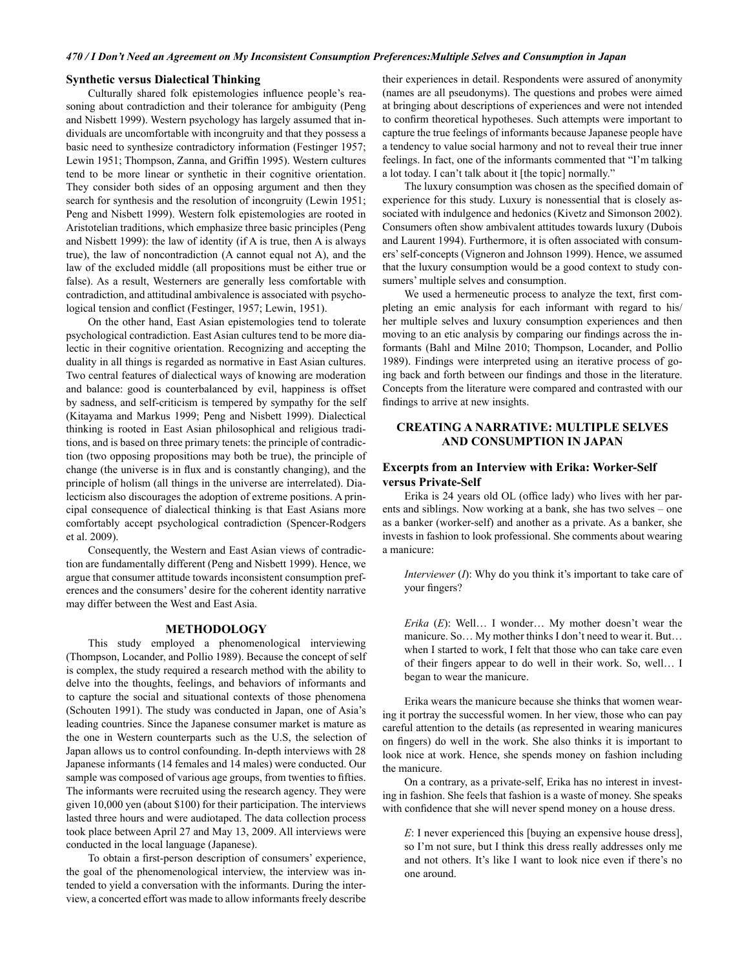#### **Synthetic versus Dialectical Thinking**

Culturally shared folk epistemologies influence people's reasoning about contradiction and their tolerance for ambiguity (Peng and Nisbett 1999). Western psychology has largely assumed that individuals are uncomfortable with incongruity and that they possess a basic need to synthesize contradictory information (Festinger 1957; Lewin 1951; Thompson, Zanna, and Griffin 1995). Western cultures tend to be more linear or synthetic in their cognitive orientation. They consider both sides of an opposing argument and then they search for synthesis and the resolution of incongruity (Lewin 1951; Peng and Nisbett 1999). Western folk epistemologies are rooted in Aristotelian traditions, which emphasize three basic principles (Peng and Nisbett 1999): the law of identity (if A is true, then A is always true), the law of noncontradiction (A cannot equal not A), and the law of the excluded middle (all propositions must be either true or false). As a result, Westerners are generally less comfortable with contradiction, and attitudinal ambivalence is associated with psychological tension and conflict (Festinger, 1957; Lewin, 1951).

On the other hand, East Asian epistemologies tend to tolerate psychological contradiction. East Asian cultures tend to be more dialectic in their cognitive orientation. Recognizing and accepting the duality in all things is regarded as normative in East Asian cultures. Two central features of dialectical ways of knowing are moderation and balance: good is counterbalanced by evil, happiness is offset by sadness, and self-criticism is tempered by sympathy for the self (Kitayama and Markus 1999; Peng and Nisbett 1999). Dialectical thinking is rooted in East Asian philosophical and religious traditions, and is based on three primary tenets: the principle of contradiction (two opposing propositions may both be true), the principle of change (the universe is in flux and is constantly changing), and the principle of holism (all things in the universe are interrelated). Dialecticism also discourages the adoption of extreme positions. A principal consequence of dialectical thinking is that East Asians more comfortably accept psychological contradiction (Spencer-Rodgers et al. 2009).

Consequently, the Western and East Asian views of contradiction are fundamentally different (Peng and Nisbett 1999). Hence, we argue that consumer attitude towards inconsistent consumption preferences and the consumers' desire for the coherent identity narrative may differ between the West and East Asia.

## **METHODOLOGY**

This study employed a phenomenological interviewing (Thompson, Locander, and Pollio 1989). Because the concept of self is complex, the study required a research method with the ability to delve into the thoughts, feelings, and behaviors of informants and to capture the social and situational contexts of those phenomena (Schouten 1991). The study was conducted in Japan, one of Asia's leading countries. Since the Japanese consumer market is mature as the one in Western counterparts such as the U.S, the selection of Japan allows us to control confounding. In-depth interviews with 28 Japanese informants (14 females and 14 males) were conducted. Our sample was composed of various age groups, from twenties to fifties. The informants were recruited using the research agency. They were given 10,000 yen (about \$100) for their participation. The interviews lasted three hours and were audiotaped. The data collection process took place between April 27 and May 13, 2009. All interviews were conducted in the local language (Japanese).

To obtain a first-person description of consumers' experience, the goal of the phenomenological interview, the interview was intended to yield a conversation with the informants. During the interview, a concerted effort was made to allow informants freely describe their experiences in detail. Respondents were assured of anonymity (names are all pseudonyms). The questions and probes were aimed at bringing about descriptions of experiences and were not intended to confirm theoretical hypotheses. Such attempts were important to capture the true feelings of informants because Japanese people have a tendency to value social harmony and not to reveal their true inner feelings. In fact, one of the informants commented that "I'm talking a lot today. I can't talk about it [the topic] normally."

The luxury consumption was chosen as the specified domain of experience for this study. Luxury is nonessential that is closely associated with indulgence and hedonics (Kivetz and Simonson 2002). Consumers often show ambivalent attitudes towards luxury (Dubois and Laurent 1994). Furthermore, it is often associated with consumers' self-concepts (Vigneron and Johnson 1999). Hence, we assumed that the luxury consumption would be a good context to study consumers' multiple selves and consumption.

We used a hermeneutic process to analyze the text, first completing an emic analysis for each informant with regard to his/ her multiple selves and luxury consumption experiences and then moving to an etic analysis by comparing our findings across the informants (Bahl and Milne 2010; Thompson, Locander, and Pollio 1989). Findings were interpreted using an iterative process of going back and forth between our findings and those in the literature. Concepts from the literature were compared and contrasted with our findings to arrive at new insights.

# **CREATING A NARRATIVE: MULTIPLE SELVES** AND CONSUMPTION IN JAPAN

## **Excerpts from an Interview with Erika: Worker-Self** versus Private-Self

Erika is 24 years old OL (office lady) who lives with her parents and siblings. Now working at a bank, she has two selves – one as a banker (worker-self) and another as a private. As a banker, she invests in fashion to look professional. She comments about wearing a manicure:

*Interviewer*  $(I)$ : Why do you think it's important to take care of vour fingers?

Erika  $(E)$ : Well... I wonder... My mother doesn't wear the manicure. So... My mother thinks I don't need to wear it. But... when I started to work, I felt that those who can take care even of their fingers appear to do well in their work. So, well... I began to wear the manicure.

Erika wears the manicure because she thinks that women wearing it portray the successful women. In her view, those who can pay careful attention to the details (as represented in wearing manicures on fingers) do well in the work. She also thinks it is important to look nice at work. Hence, she spends money on fashion including the manicure.

On a contrary, as a private-self, Erika has no interest in investing in fashion. She feels that fashion is a waste of money. She speaks with confidence that she will never spend money on a house dress.

E: I never experienced this [buying an expensive house dress], so I'm not sure, but I think this dress really addresses only me and not others. It's like I want to look nice even if there's no one around.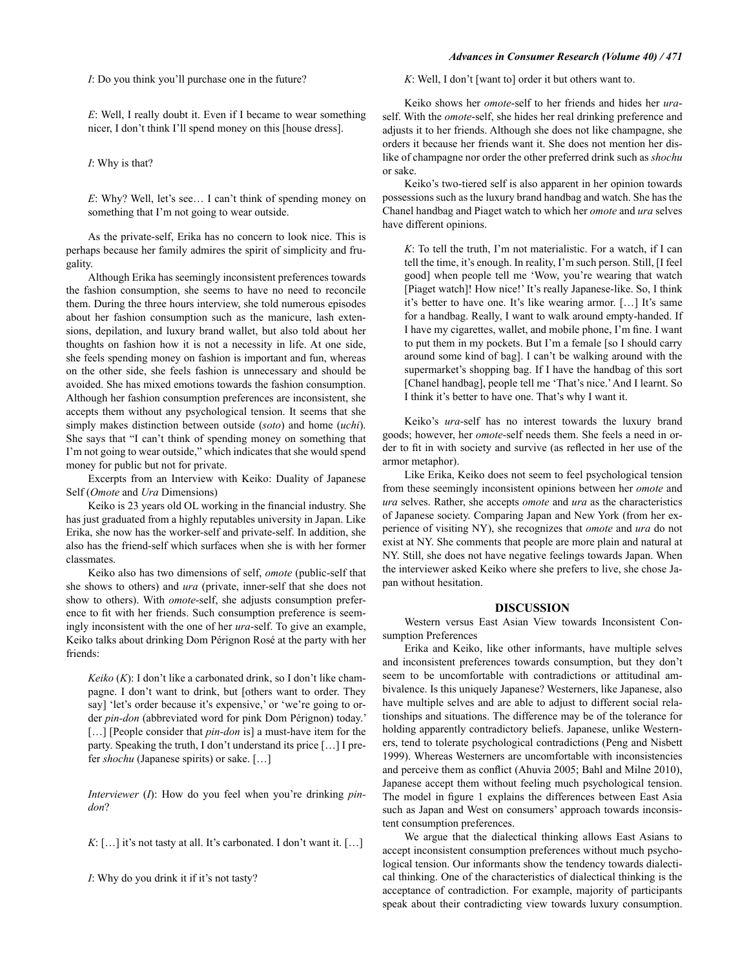I: Do you think you'll purchase one in the future?

E: Well, I really doubt it. Even if I became to wear something nicer, I don't think I'll spend money on this [house dress].

I: Why is that?

E: Why? Well, let's see... I can't think of spending money on something that I'm not going to wear outside.

As the private-self, Erika has no concern to look nice. This is perhaps because her family admires the spirit of simplicity and frugality.

Although Erika has seemingly inconsistent preferences towards the fashion consumption, she seems to have no need to reconcile them. During the three hours interview, she told numerous episodes about her fashion consumption such as the manicure, lash extensions, depilation, and luxury brand wallet, but also told about her thoughts on fashion how it is not a necessity in life. At one side, she feels spending money on fashion is important and fun, whereas on the other side, she feels fashion is unnecessary and should be avoided. She has mixed emotions towards the fashion consumption. Although her fashion consumption preferences are inconsistent, she accepts them without any psychological tension. It seems that she simply makes distinction between outside (soto) and home (uchi). She says that "I can't think of spending money on something that I'm not going to wear outside," which indicates that she would spend money for public but not for private.

Excerpts from an Interview with Keiko: Duality of Japanese Self (*Omote* and *Ura* Dimensions)

Keiko is 23 years old OL working in the financial industry. She has just graduated from a highly reputables university in Japan. Like Erika, she now has the worker-self and private-self. In addition, she also has the friend-self which surfaces when she is with her former classmates.

Keiko also has two dimensions of self, *omote* (public-self that she shows to others) and *ura* (private, inner-self that she does not show to others). With *omote-self*, she adjusts consumption preference to fit with her friends. Such consumption preference is seemingly inconsistent with the one of her *ura*-self. To give an example, Keiko talks about drinking Dom Pérignon Rosé at the party with her friends:

Keiko (K): I don't like a carbonated drink, so I don't like champagne. I don't want to drink, but [others want to order. They say] 'let's order because it's expensive,' or 'we're going to order pin-don (abbreviated word for pink Dom Pérignon) today.' [...] [People consider that *pin-don* is] a must-have item for the party. Speaking the truth, I don't understand its price [...] I prefer shochu (Japanese spirits) or sake. [...]

Interviewer  $(I)$ : How do you feel when you're drinking pin $don?$ 

 $K:$  [...] it's not tasty at all. It's carbonated. I don't want it. [...]

I: Why do you drink it if it's not tasty?

K: Well, I don't [want to] order it but others want to.

Keiko shows her *omote*-self to her friends and hides her *ura*self. With the *omote*-self, she hides her real drinking preference and adjusts it to her friends. Although she does not like champagne, she orders it because her friends want it. She does not mention her dislike of champagne nor order the other preferred drink such as *shochu* or sake.

Keiko's two-tiered self is also apparent in her opinion towards possessions such as the luxury brand handbag and watch. She has the Chanel handbag and Piaget watch to which her omote and ura selves have different opinions.

K: To tell the truth, I'm not materialistic. For a watch, if I can tell the time, it's enough. In reality, I'm such person. Still, [I feel good] when people tell me 'Wow, you're wearing that watch [Piaget watch]! How nice!' It's really Japanese-like. So, I think it's better to have one. It's like wearing armor. [...] It's same for a handbag. Really, I want to walk around empty-handed. If I have my cigarettes, wallet, and mobile phone, I'm fine. I want to put them in my pockets. But I'm a female [so I should carry around some kind of bag]. I can't be walking around with the supermarket's shopping bag. If I have the handbag of this sort [Chanel handbag], people tell me 'That's nice.' And I learnt. So I think it's better to have one. That's why I want it.

Keiko's ura-self has no interest towards the luxury brand goods; however, her *omote*-self needs them. She feels a need in order to fit in with society and survive (as reflected in her use of the armor metaphor).

Like Erika, Keiko does not seem to feel psychological tension from these seemingly inconsistent opinions between her omote and ura selves. Rather, she accepts omote and ura as the characteristics of Japanese society. Comparing Japan and New York (from her experience of visiting NY), she recognizes that *omote* and *ura* do not exist at NY. She comments that people are more plain and natural at NY. Still, she does not have negative feelings towards Japan. When the interviewer asked Keiko where she prefers to live, she chose Japan without hesitation.

#### **DISCUSSION**

Western versus East Asian View towards Inconsistent Consumption Preferences

Erika and Keiko, like other informants, have multiple selves and inconsistent preferences towards consumption, but they don't seem to be uncomfortable with contradictions or attitudinal ambivalence. Is this uniquely Japanese? Westerners, like Japanese, also have multiple selves and are able to adjust to different social relationships and situations. The difference may be of the tolerance for holding apparently contradictory beliefs. Japanese, unlike Westerners, tend to tolerate psychological contradictions (Peng and Nisbett 1999). Whereas Westerners are uncomfortable with inconsistencies and perceive them as conflict (Ahuvia 2005; Bahl and Milne 2010), Japanese accept them without feeling much psychological tension. The model in figure 1 explains the differences between East Asia such as Japan and West on consumers' approach towards inconsistent consumption preferences.

We argue that the dialectical thinking allows East Asians to accept inconsistent consumption preferences without much psychological tension. Our informants show the tendency towards dialectical thinking. One of the characteristics of dialectical thinking is the acceptance of contradiction. For example, majority of participants speak about their contradicting view towards luxury consumption.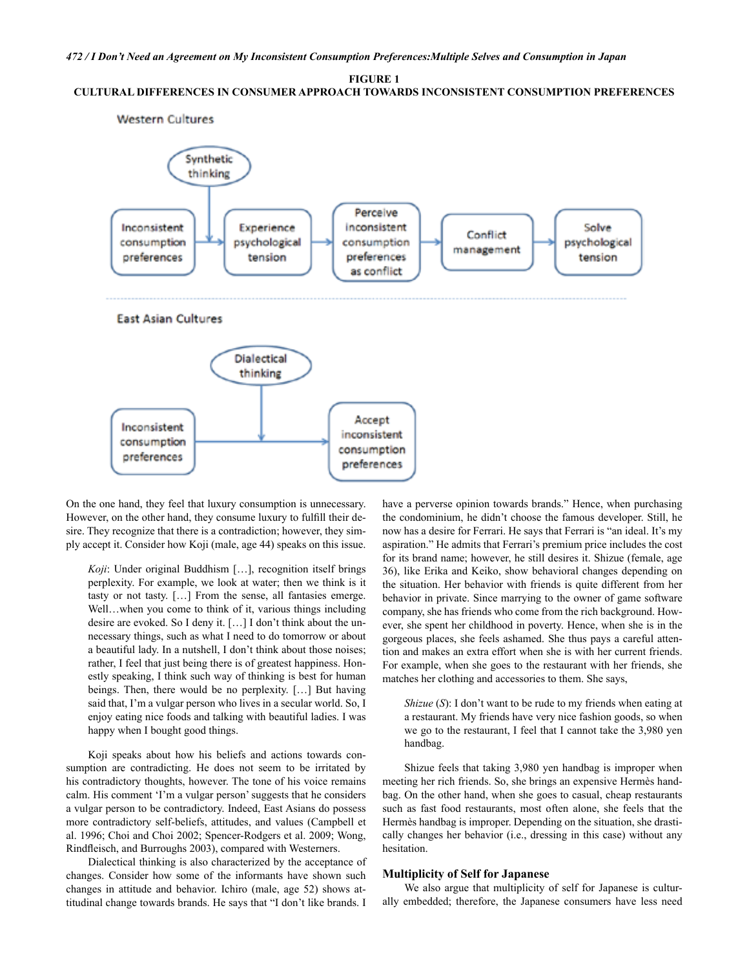**FIGURE 1** CULTURAL DIFFERENCES IN CONSUMER APPROACH TOWARDS INCONSISTENT CONSUMPTION PREFERENCES



On the one hand, they feel that luxury consumption is unnecessary. However, on the other hand, they consume luxury to fulfill their desire. They recognize that there is a contradiction; however, they simply accept it. Consider how Koji (male, age 44) speaks on this issue.

Koji: Under original Buddhism [...], recognition itself brings perplexity. For example, we look at water; then we think is it tasty or not tasty. [...] From the sense, all fantasies emerge. Well...when you come to think of it, various things including desire are evoked. So I deny it. [...] I don't think about the unnecessary things, such as what I need to do tomorrow or about a beautiful lady. In a nutshell, I don't think about those noises; rather, I feel that just being there is of greatest happiness. Honestly speaking, I think such way of thinking is best for human beings. Then, there would be no perplexity. [...] But having said that, I'm a vulgar person who lives in a secular world. So, I enjoy eating nice foods and talking with beautiful ladies. I was happy when I bought good things.

Koji speaks about how his beliefs and actions towards consumption are contradicting. He does not seem to be irritated by his contradictory thoughts, however. The tone of his voice remains calm. His comment 'I'm a vulgar person' suggests that he considers a vulgar person to be contradictory. Indeed, East Asians do possess more contradictory self-beliefs, attitudes, and values (Campbell et al. 1996; Choi and Choi 2002; Spencer-Rodgers et al. 2009; Wong, Rindfleisch, and Burroughs 2003), compared with Westerners.

Dialectical thinking is also characterized by the acceptance of changes. Consider how some of the informants have shown such changes in attitude and behavior. Ichiro (male, age 52) shows attitudinal change towards brands. He says that "I don't like brands. I have a perverse opinion towards brands." Hence, when purchasing the condominium, he didn't choose the famous developer. Still, he now has a desire for Ferrari. He says that Ferrari is "an ideal. It's my aspiration." He admits that Ferrari's premium price includes the cost for its brand name; however, he still desires it. Shizue (female, age 36), like Erika and Keiko, show behavioral changes depending on the situation. Her behavior with friends is quite different from her behavior in private. Since marrying to the owner of game software company, she has friends who come from the rich background. However, she spent her childhood in poverty. Hence, when she is in the gorgeous places, she feels ashamed. She thus pays a careful attention and makes an extra effort when she is with her current friends. For example, when she goes to the restaurant with her friends, she matches her clothing and accessories to them. She says,

*Shizue* (S): I don't want to be rude to my friends when eating at a restaurant. My friends have very nice fashion goods, so when we go to the restaurant, I feel that I cannot take the 3,980 yen handbag.

Shizue feels that taking 3,980 yen handbag is improper when meeting her rich friends. So, she brings an expensive Hermès handbag. On the other hand, when she goes to casual, cheap restaurants such as fast food restaurants, most often alone, she feels that the Hermès handbag is improper. Depending on the situation, she drastically changes her behavior (i.e., dressing in this case) without any hesitation.

#### **Multiplicity of Self for Japanese**

We also argue that multiplicity of self for Japanese is culturally embedded; therefore, the Japanese consumers have less need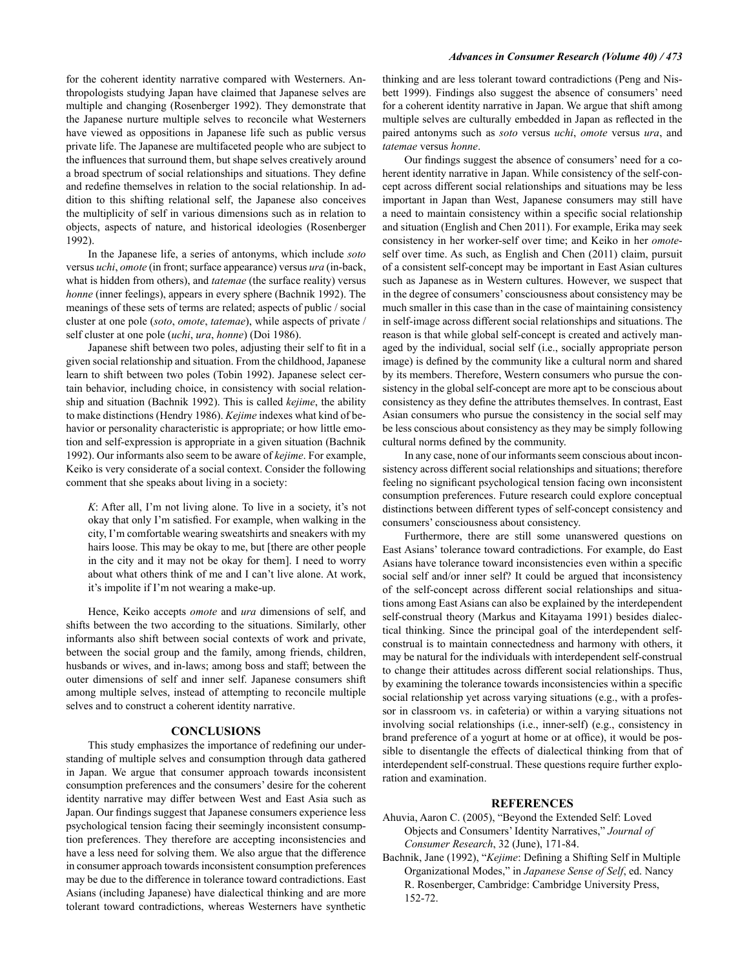for the coherent identity narrative compared with Westerners. Anthropologists studying Japan have claimed that Japanese selves are multiple and changing (Rosenberger 1992). They demonstrate that the Japanese nurture multiple selves to reconcile what Westerners have viewed as oppositions in Japanese life such as public versus private life. The Japanese are multifaceted people who are subject to the influences that surround them, but shape selves creatively around a broad spectrum of social relationships and situations. They define and redefine themselves in relation to the social relationship. In addition to this shifting relational self, the Japanese also conceives the multiplicity of self in various dimensions such as in relation to

1992). In the Japanese life, a series of antonyms, which include soto versus *uchi*, *omote* (in front; surface appearance) versus *ura* (in-back, what is hidden from others), and *tatemae* (the surface reality) versus honne (inner feelings), appears in every sphere (Bachnik 1992). The meanings of these sets of terms are related; aspects of public / social cluster at one pole (soto, omote, tatemae), while aspects of private / self cluster at one pole (uchi, ura, honne) (Doi 1986).

objects, aspects of nature, and historical ideologies (Rosenberger

Japanese shift between two poles, adjusting their self to fit in a given social relationship and situation. From the childhood, Japanese learn to shift between two poles (Tobin 1992). Japanese select certain behavior, including choice, in consistency with social relationship and situation (Bachnik 1992). This is called kejime, the ability to make distinctions (Hendry 1986). Kejime indexes what kind of behavior or personality characteristic is appropriate; or how little emotion and self-expression is appropriate in a given situation (Bachnik 1992). Our informants also seem to be aware of kejime. For example, Keiko is very considerate of a social context. Consider the following comment that she speaks about living in a society:

K: After all, I'm not living alone. To live in a society, it's not okay that only I'm satisfied. For example, when walking in the city, I'm comfortable wearing sweatshirts and sneakers with my hairs loose. This may be okay to me, but [there are other people in the city and it may not be okay for them]. I need to worry about what others think of me and I can't live alone. At work, it's impolite if I'm not wearing a make-up.

Hence, Keiko accepts omote and ura dimensions of self, and shifts between the two according to the situations. Similarly, other informants also shift between social contexts of work and private, between the social group and the family, among friends, children, husbands or wives, and in-laws; among boss and staff; between the outer dimensions of self and inner self. Japanese consumers shift among multiple selves, instead of attempting to reconcile multiple selves and to construct a coherent identity narrative.

#### **CONCLUSIONS**

This study emphasizes the importance of redefining our understanding of multiple selves and consumption through data gathered in Japan. We argue that consumer approach towards inconsistent consumption preferences and the consumers' desire for the coherent identity narrative may differ between West and East Asia such as Japan. Our findings suggest that Japanese consumers experience less psychological tension facing their seemingly inconsistent consumption preferences. They therefore are accepting inconsistencies and have a less need for solving them. We also argue that the difference in consumer approach towards inconsistent consumption preferences may be due to the difference in tolerance toward contradictions. East Asians (including Japanese) have dialectical thinking and are more tolerant toward contradictions, whereas Westerners have synthetic thinking and are less tolerant toward contradictions (Peng and Nisbett 1999). Findings also suggest the absence of consumers' need for a coherent identity narrative in Japan. We argue that shift among multiple selves are culturally embedded in Japan as reflected in the paired antonyms such as soto versus uchi, omote versus ura, and tatemae versus honne.

Our findings suggest the absence of consumers' need for a coherent identity narrative in Japan. While consistency of the self-concept across different social relationships and situations may be less important in Japan than West, Japanese consumers may still have a need to maintain consistency within a specific social relationship and situation (English and Chen 2011). For example, Erika may seek consistency in her worker-self over time; and Keiko in her omoteself over time. As such, as English and Chen (2011) claim, pursuit of a consistent self-concept may be important in East Asian cultures such as Japanese as in Western cultures. However, we suspect that in the degree of consumers' consciousness about consistency may be much smaller in this case than in the case of maintaining consistency in self-image across different social relationships and situations. The reason is that while global self-concept is created and actively managed by the individual, social self (i.e., socially appropriate person image) is defined by the community like a cultural norm and shared by its members. Therefore, Western consumers who pursue the consistency in the global self-concept are more apt to be conscious about consistency as they define the attributes themselves. In contrast, East Asian consumers who pursue the consistency in the social self may be less conscious about consistency as they may be simply following cultural norms defined by the community.

In any case, none of our informants seem conscious about inconsistency across different social relationships and situations; therefore feeling no significant psychological tension facing own inconsistent consumption preferences. Future research could explore conceptual distinctions between different types of self-concept consistency and consumers' consciousness about consistency.

Furthermore, there are still some unanswered questions on East Asians' tolerance toward contradictions. For example, do East Asians have tolerance toward inconsistencies even within a specific social self and/or inner self? It could be argued that inconsistency of the self-concept across different social relationships and situations among East Asians can also be explained by the interdependent self-construal theory (Markus and Kitayama 1991) besides dialectical thinking. Since the principal goal of the interdependent selfconstrual is to maintain connectedness and harmony with others, it may be natural for the individuals with interdependent self-construal to change their attitudes across different social relationships. Thus, by examining the tolerance towards inconsistencies within a specific social relationship yet across varying situations (e.g., with a professor in classroom vs. in cafeteria) or within a varying situations not involving social relationships (i.e., inner-self) (e.g., consistency in brand preference of a yogurt at home or at office), it would be possible to disentangle the effects of dialectical thinking from that of interdependent self-construal. These questions require further exploration and examination.

#### **REFERENCES**

- Ahuvia, Aaron C. (2005), "Beyond the Extended Self: Loved Objects and Consumers' Identity Narratives," Journal of Consumer Research, 32 (June), 171-84.
- Bachnik, Jane (1992), "Kejime: Defining a Shifting Self in Multiple Organizational Modes," in Japanese Sense of Self, ed. Nancy R. Rosenberger, Cambridge: Cambridge University Press, 152-72.